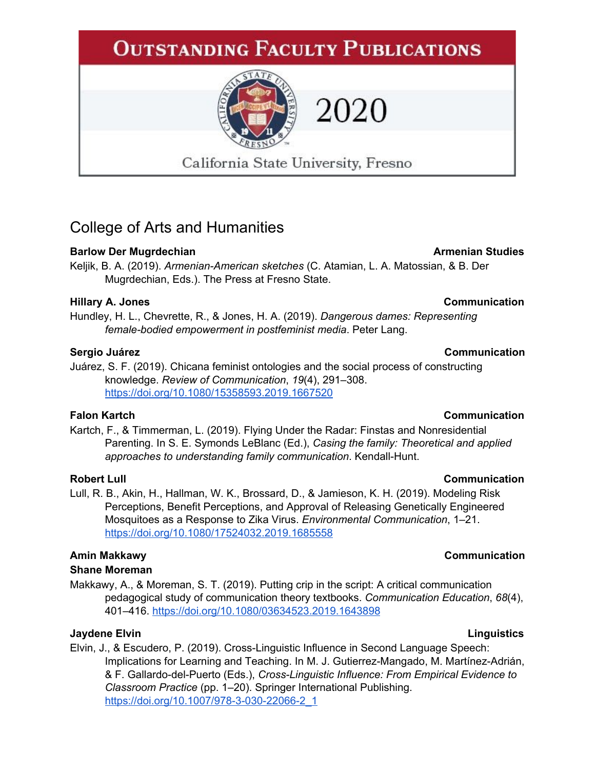# **OUTSTANDING FACULTY PUBLICATIONS**



# California State University, Fresno

2020

# College of Arts and Humanities

## **Barlow Der Mugrdechian Armenian Armenian Armenian Studies**

Keljik, B. A. (2019). *Armenian-American sketches* (C. Atamian, L. A. Matossian, & B. Der Mugrdechian, Eds.). The Press at Fresno State.

### **Hillary A. Jones Communication**

Hundley, H. L., Chevrette, R., & Jones, H. A. (2019). *Dangerous dames: Representing female-bodied empowerment in postfeminist media*. Peter Lang.

### Juárez, S. F. (2019). Chicana feminist ontologies and the social process of constructing knowledge. *Review of Communication*, *19*(4), 291–308[.](https://doi.org/10.1080/15358593.2019.1667520) <https://doi.org/10.1080/15358593.2019.1667520>

Kartch, F., & Timmerman, L. (2019). Flying Under the Radar: Finstas and Nonresidential Parenting. In S. E. Symonds LeBlanc (Ed.), *Casing the family: Theoretical and applied approaches to understanding family communication*. Kendall-Hunt.

Lull, R. B., Akin, H., Hallman, W. K., Brossard, D., & Jamieson, K. H. (2019). Modeling Risk Perceptions, Benefit Perceptions, and Approval of Releasing Genetically Engineered Mosquitoes as a Response to Zika Virus. *Environmental Communication*, 1–21[.](https://doi.org/10.1080/17524032.2019.1685558) <https://doi.org/10.1080/17524032.2019.1685558>

## **Shane Moreman**

Makkawy, A., & Moreman, S. T. (2019). Putting crip in the script: A critical communication pedagogical study of communication theory textbooks. *Communication Education*, *68*(4), 401–416. <https://doi.org/10.1080/03634523.2019.1643898>

## **Jaydene Elvin Linguistics**

Elvin, J., & Escudero, P. (2019). Cross-Linguistic Influence in Second Language Speech: Implications for Learning and Teaching. In M. J. Gutierrez-Mangado, M. Martínez-Adrián, & F. Gallardo-del-Puerto (Eds.), *Cross-Linguistic Influence: From Empirical Evidence to Classroom Practice* (pp. 1–20). Springer International Publishing[.](https://doi.org/10.1007/978-3-030-22066-2_1) [https://doi.org/10.1007/978-3-030-22066-2\\_1](https://doi.org/10.1007/978-3-030-22066-2_1)

## **Sergio Juárez Communication**

### **Falon Kartch Communication**

### **Robert Lull Communication**

### **Amin Makkawy Communication**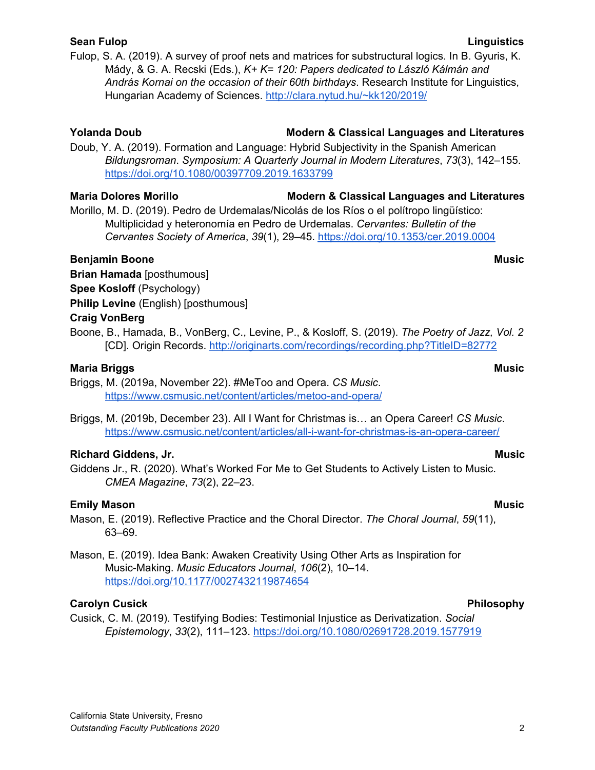### **Sean Fulop Linguistics**

Fulop, S. A. (2019). A survey of proof nets and matrices for substructural logics. In B. Gyuris, K. Mády, & G. A. Recski (Eds.), *K+ K= 120: Papers dedicated to László Kálmán and András Kornai on the occasion of their 60th birthdays*. Research Institute for Linguistics, Hungarian Academy of Sciences. <http://clara.nytud.hu/~kk120/2019/>

Doub, Y. A. (2019). Formation and Language: Hybrid Subjectivity in the Spanish American *Bildungsroman*. *Symposium: A Quarterly Journal in Modern Literatures*, *73*(3), 142–155[.](https://doi.org/10.1080/00397709.2019.1633799) <https://doi.org/10.1080/00397709.2019.1633799>

## **Maria Dolores Morillo Modern & Classical Languages and Literatures**

Morillo, M. D. (2019). Pedro de Urdemalas/Nicolás de los Ríos o el polítropo lingüístico: Multiplicidad y heteronomía en Pedro de Urdemalas. *Cervantes: Bulletin of the Cervantes Society of America*, *39*(1), 29–45[.](https://doi.org/10.1353/cer.2019.0004) <https://doi.org/10.1353/cer.2019.0004>

## **Benjamin Boone Music**

**Brian Hamada** [posthumous]

**Spee Kosloff** (Psychology)

**Philip Levine** (English) [posthumous]

## **Craig VonBerg**

Boone, B., Hamada, B., VonBerg, C., Levine, P., & Kosloff, S. (2019). *The Poetry of Jazz, Vol. 2* [CD]. Origin Records[.](http://originarts.com/recordings/recording.php?TitleID=82772) <http://originarts.com/recordings/recording.php?TitleID=82772>

## **Maria Briggs Music**

Briggs, M. (2019a, November 22). #MeToo and Opera. *CS Music*[.](https://www.csmusic.net/content/articles/metoo-and-opera/) <https://www.csmusic.net/content/articles/metoo-and-opera/>

Briggs, M. (2019b, December 23). All I Want for Christmas is… an Opera Career! *CS Music*. <https://www.csmusic.net/content/articles/all-i-want-for-christmas-is-an-opera-career/>

## **Richard Giddens, Jr. Music**

Giddens Jr., R. (2020). What's Worked For Me to Get Students to Actively Listen to Music. *CMEA Magazine*, *73*(2), 22–23.

## **Emily Mason Music**

Mason, E. (2019). Reflective Practice and the Choral Director. *The Choral Journal*, *59*(11), 63–69.

Mason, E. (2019). Idea Bank: Awaken Creativity Using Other Arts as Inspiration for Music-Making. *Music Educators Journal*, *106*(2), 10–14. <https://doi.org/10.1177/0027432119874654>

## **Carolyn Cusick Philosophy**

Cusick, C. M. (2019). Testifying Bodies: Testimonial Injustice as Derivatization. *Social Epistemology*, *33*(2), 111–123. <https://doi.org/10.1080/02691728.2019.1577919>

# **Yolanda Doub Modern & Classical Languages and Literatures**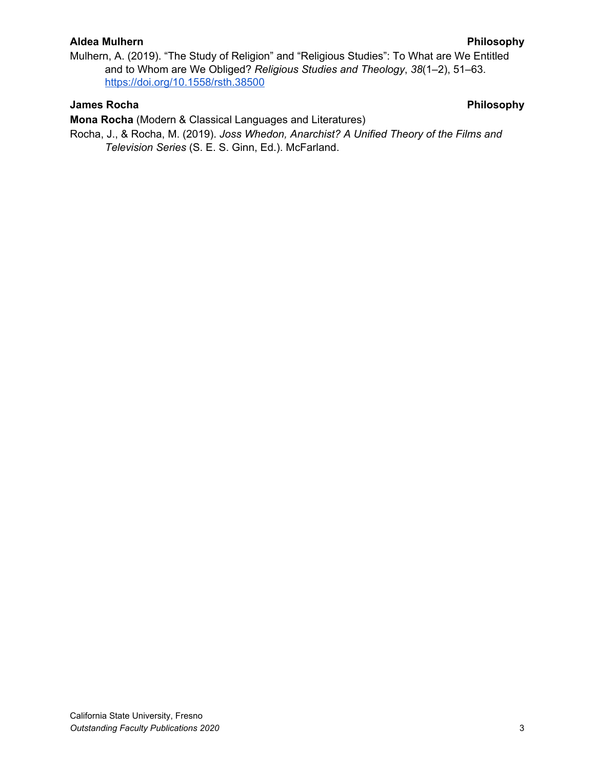### **Aldea Mulhern Philosophy**

Mulhern, A. (2019). "The Study of Religion" and "Religious Studies": To What are We Entitled and to Whom are We Obliged? *Religious Studies and Theology*, *38*(1–2), 51–63[.](https://doi.org/10.1558/rsth.38500) <https://doi.org/10.1558/rsth.38500>

## **James Rocha Philosophy**

**Mona Rocha** (Modern & Classical Languages and Literatures)

Rocha, J., & Rocha, M. (2019). *Joss Whedon, Anarchist? A Unified Theory of the Films and Television Series* (S. E. S. Ginn, Ed.). McFarland.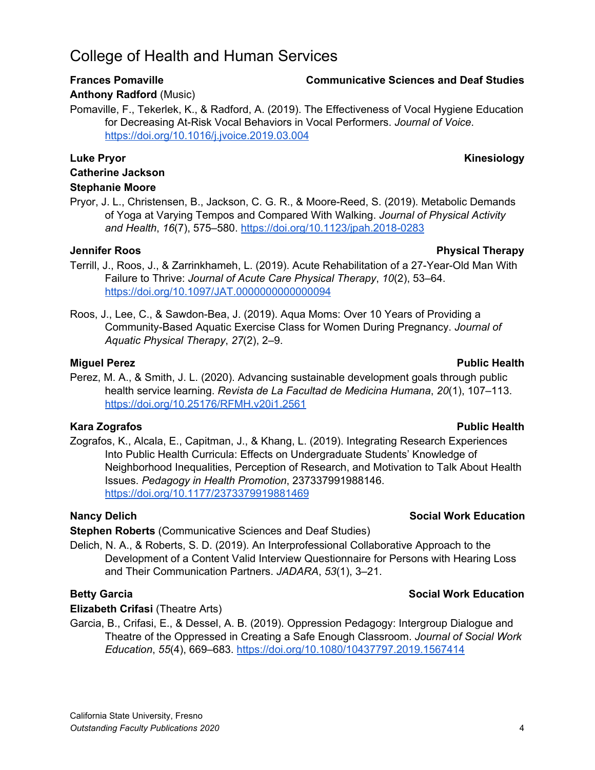# College of Health and Human Services

## **Anthony Radford** (Music)

Pomaville, F., Tekerlek, K., & Radford, A. (2019). The Effectiveness of Vocal Hygiene Education for Decreasing At-Risk Vocal Behaviors in Vocal Performers. *Journal of Voice*. <https://doi.org/10.1016/j.jvoice.2019.03.004>

## **Luke Pryor Kinesiology**

**Catherine Jackson**

## **Stephanie Moore**

Pryor, J. L., Christensen, B., Jackson, C. G. R., & Moore-Reed, S. (2019). Metabolic Demands of Yoga at Varying Tempos and Compared With Walking. *Journal of Physical Activity and Health*, *16*(7), 575–580. <https://doi.org/10.1123/jpah.2018-0283>

## **Jennifer Roos Physical Therapy**

- Terrill, J., Roos, J., & Zarrinkhameh, L. (2019). Acute Rehabilitation of a 27-Year-Old Man With Failure to Thrive: *Journal of Acute Care Physical Therapy*, *10*(2), 53–64. <https://doi.org/10.1097/JAT.0000000000000094>
- Roos, J., Lee, C., & Sawdon-Bea, J. (2019). Aqua Moms: Over 10 Years of Providing a Community-Based Aquatic Exercise Class for Women During Pregnancy. *Journal of Aquatic Physical Therapy*, *27*(2), 2–9.

## **Miguel Perez Public Health**

Perez, M. A., & Smith, J. L. (2020). Advancing sustainable development goals through public health service learning. *Revista de La Facultad de Medicina Humana*, *20*(1), 107–113[.](https://doi.org/10.25176/RFMH.v20i1.2561) <https://doi.org/10.25176/RFMH.v20i1.2561>

## **Kara Zografos Public Health**

Zografos, K., Alcala, E., Capitman, J., & Khang, L. (2019). Integrating Research Experiences Into Public Health Curricula: Effects on Undergraduate Students' Knowledge of Neighborhood Inequalities, Perception of Research, and Motivation to Talk About Health Issues. *Pedagogy in Health Promotion*, 237337991988146. <https://doi.org/10.1177/2373379919881469>

## **Nancy Delich Social Work Education**

**Stephen Roberts** (Communicative Sciences and Deaf Studies)

Delich, N. A., & Roberts, S. D. (2019). An Interprofessional Collaborative Approach to the Development of a Content Valid Interview Questionnaire for Persons with Hearing Loss and Their Communication Partners. *JADARA*, *53*(1), 3–21.

## **Elizabeth Crifasi** (Theatre Arts)

Garcia, B., Crifasi, E., & Dessel, A. B. (2019). Oppression Pedagogy: Intergroup Dialogue and Theatre of the Oppressed in Creating a Safe Enough Classroom. *Journal of Social Work Education*, *55*(4), 669–683. <https://doi.org/10.1080/10437797.2019.1567414>

## **Betty Garcia Social Work Education**

# **Frances Pomaville Communicative Sciences and Deaf Studies**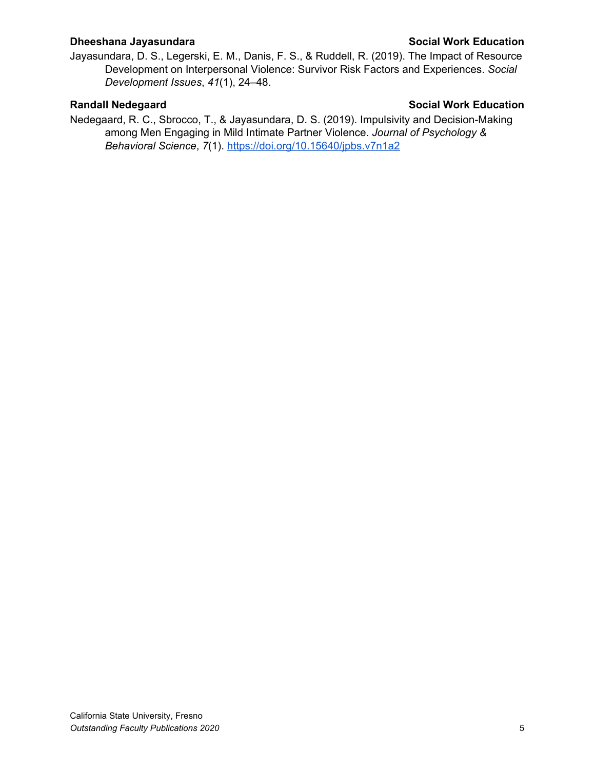### **Dheeshana Jayasundara Social Work Education Social Work Education**

Jayasundara, D. S., Legerski, E. M., Danis, F. S., & Ruddell, R. (2019). The Impact of Resource Development on Interpersonal Violence: Survivor Risk Factors and Experiences. *Social Development Issues*, *41*(1), 24–48.

## **Randall Nedegaard Social Work Education**

Nedegaard, R. C., Sbrocco, T., & Jayasundara, D. S. (2019). Impulsivity and Decision-Making among Men Engaging in Mild Intimate Partner Violence. *Journal of Psychology & Behavioral Science*, *7*(1). <https://doi.org/10.15640/jpbs.v7n1a2>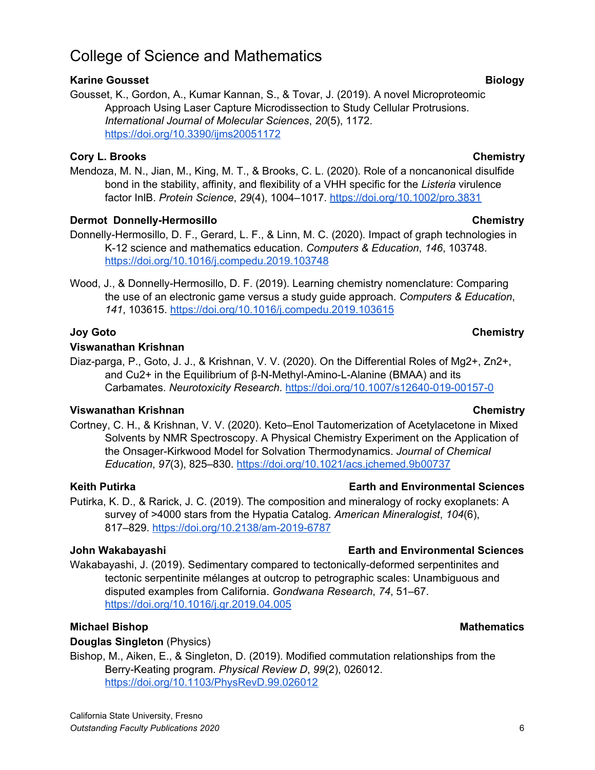# College of Science and Mathematics

### **Karine Gousset <b>Biology**

Gousset, K., Gordon, A., Kumar Kannan, S., & Tovar, J. (2019). A novel Microproteomic Approach Using Laser Capture Microdissection to Study Cellular Protrusions. *International Journal of Molecular Sciences*, *20*(5), 1172[.](https://doi.org/10.3390/ijms20051172) <https://doi.org/10.3390/ijms20051172>

### **Cory L. Brooks Chemistry**

Mendoza, M. N., Jian, M., King, M. T., & Brooks, C. L. (2020). Role of a noncanonical disulfide bond in the stability, affinity, and flexibility of a VHH specific for the *Listeria* virulence factor InlB. *Protein Science*, *29*(4), 1004–1017. <https://doi.org/10.1002/pro.3831>

### **Dermot Donnelly-Hermosillo Chemistry**

Donnelly-Hermosillo, D. F., Gerard, L. F., & Linn, M. C. (2020). Impact of graph technologies in K-12 science and mathematics education. *Computers & Education*, *146*, 103748. <https://doi.org/10.1016/j.compedu.2019.103748>

Wood, J., & Donnelly-Hermosillo, D. F. (2019). Learning chemistry nomenclature: Comparing the use of an electronic game versus a study guide approach. *Computers & Education*, *141*, 103615. <https://doi.org/10.1016/j.compedu.2019.103615>

### **Viswanathan Krishnan**

Diaz-parga, P., Goto, J. J., & Krishnan, V. V. (2020). On the Differential Roles of Mg2+, Zn2+, and Cu2+ in the Equilibrium of β-N-Methyl-Amino-L-Alanine (BMAA) and its Carbamates. *Neurotoxicity Research*. <https://doi.org/10.1007/s12640-019-00157-0>

### **Viswanathan Krishnan Chemistry**

Cortney, C. H., & Krishnan, V. V. (2020). Keto–Enol Tautomerization of Acetylacetone in Mixed Solvents by NMR Spectroscopy. A Physical Chemistry Experiment on the Application of the Onsager-Kirkwood Model for Solvation Thermodynamics. *Journal of Chemical Education*, *97*(3), 825–830. <https://doi.org/10.1021/acs.jchemed.9b00737>

### **Keith Putirka Earth and Environmental Sciences**

Putirka, K. D., & Rarick, J. C. (2019). The composition and mineralogy of rocky exoplanets: A survey of >4000 stars from the Hypatia Catalog. *American Mineralogist*, *104*(6), 817–829. <https://doi.org/10.2138/am-2019-6787>

Wakabayashi, J. (2019). Sedimentary compared to tectonically-deformed serpentinites and tectonic serpentinite mélanges at outcrop to petrographic scales: Unambiguous and disputed examples from California. *Gondwana Research*, *74*, 51–67. <https://doi.org/10.1016/j.gr.2019.04.005>

### **Michael Bishop Mathematics**

### **Douglas Singleton** (Physics)

Bishop, M., Aiken, E., & Singleton, D. (2019). Modified commutation relationships from the Berry-Keating program. *Physical Review D*, *99*(2), 026012. <https://doi.org/10.1103/PhysRevD.99.026012>

### **John Wakabayashi Earth and Environmental Sciences**

### **Joy Goto Chemistry**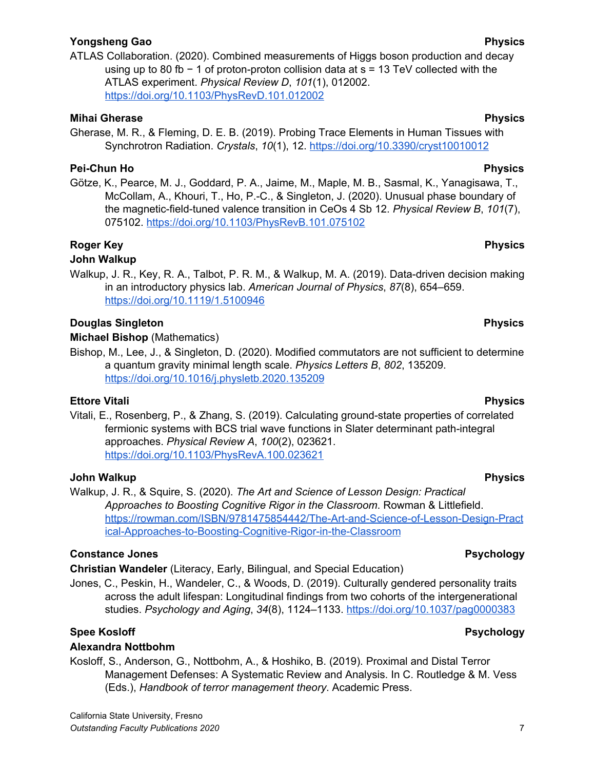### **Yongsheng Gao Physics**

ATLAS Collaboration. (2020). Combined measurements of Higgs boson production and decay using up to 80 fb − 1 of proton-proton collision data at s = 13 TeV collected with the ATLAS experiment. *Physical Review D*, *101*(1), 012002[.](https://doi.org/10.1103/PhysRevD.101.012002) <https://doi.org/10.1103/PhysRevD.101.012002>

## **Mihai Gherase Physics**

Gherase, M. R., & Fleming, D. E. B. (2019). Probing Trace Elements in Human Tissues with Synchrotron Radiation. *Crystals*, *10*(1), 12. <https://doi.org/10.3390/cryst10010012>

## **Pei-Chun Ho Physics**

Götze, K., Pearce, M. J., Goddard, P. A., Jaime, M., Maple, M. B., Sasmal, K., Yanagisawa, T., McCollam, A., Khouri, T., Ho, P.-C., & Singleton, J. (2020). Unusual phase boundary of the magnetic-field-tuned valence transition in CeOs 4 Sb 12. *Physical Review B*, *101*(7), 075102. <https://doi.org/10.1103/PhysRevB.101.075102>

## **Roger Key Physics**

## **John Walkup**

Walkup, J. R., Key, R. A., Talbot, P. R. M., & Walkup, M. A. (2019). Data-driven decision making in an introductory physics lab. *American Journal of Physics*, *87*(8), 654–659[.](https://doi.org/10.1119/1.5100946) <https://doi.org/10.1119/1.5100946>

## **Douglas Singleton Physics**

## **Michael Bishop** (Mathematics)

Bishop, M., Lee, J., & Singleton, D. (2020). Modified commutators are not sufficient to determine a quantum gravity minimal length scale. *Physics Letters B*, *802*, 135209[.](https://doi.org/10.1016/j.physletb.2020.135209) <https://doi.org/10.1016/j.physletb.2020.135209>

## **Ettore Vitali Physics**

Vitali, E., Rosenberg, P., & Zhang, S. (2019). Calculating ground-state properties of correlated fermionic systems with BCS trial wave functions in Slater determinant path-integral approaches. *Physical Review A*, *100*(2), 023621. <https://doi.org/10.1103/PhysRevA.100.023621>

## **John Walkup Physics**

Walkup, J. R., & Squire, S. (2020). *The Art and Science of Lesson Design: Practical Approaches to Boosting Cognitive Rigor in the Classroom*. Rowman & Littlefield. [https://rowman.com/ISBN/9781475854442/The-Art-and-Science-of-Lesson-Design-Pract](https://rowman.com/ISBN/9781475854442/The-Art-and-Science-of-Lesson-Design-Practical-Approaches-to-Boosting-Cognitive-Rigor-in-the-Classroom) [ical-Approaches-to-Boosting-Cognitive-Rigor-in-the-Classroom](https://rowman.com/ISBN/9781475854442/The-Art-and-Science-of-Lesson-Design-Practical-Approaches-to-Boosting-Cognitive-Rigor-in-the-Classroom)

## **Constance Jones Psychology**

**Christian Wandeler** (Literacy, Early, Bilingual, and Special Education)

Jones, C., Peskin, H., Wandeler, C., & Woods, D. (2019). Culturally gendered personality traits across the adult lifespan: Longitudinal findings from two cohorts of the intergenerational studies. *Psychology and Aging*, *34*(8), 1124–1133. <https://doi.org/10.1037/pag0000383>

## **Spee Kosloff Psychology**

## **Alexandra Nottbohm**

Kosloff, S., Anderson, G., Nottbohm, A., & Hoshiko, B. (2019). Proximal and Distal Terror Management Defenses: A Systematic Review and Analysis. In C. Routledge & M. Vess (Eds.), *Handbook of terror management theory*. Academic Press.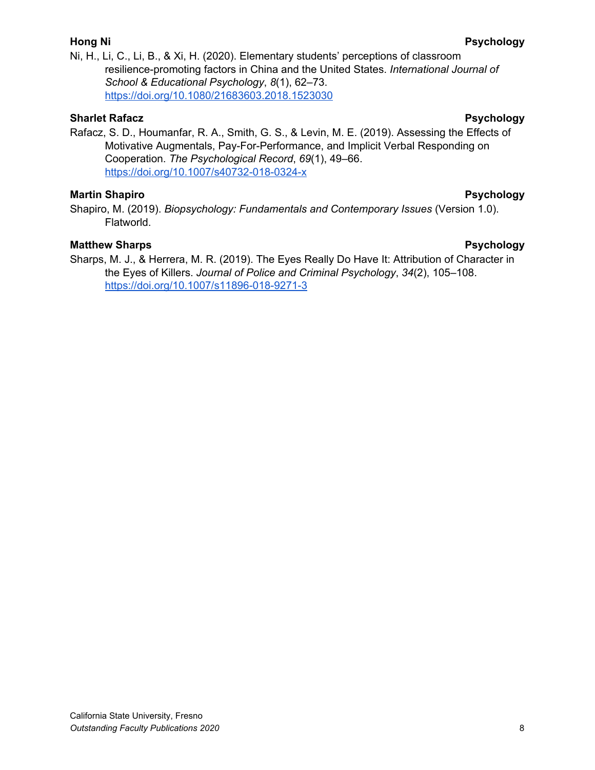Ni, H., Li, C., Li, B., & Xi, H. (2020). Elementary students' perceptions of classroom resilience-promoting factors in China and the United States. *International Journal of School & Educational Psychology*, *8*(1), 62–73. <https://doi.org/10.1080/21683603.2018.1523030>

## **Sharlet Rafacz Psychology**

Rafacz, S. D., Houmanfar, R. A., Smith, G. S., & Levin, M. E. (2019). Assessing the Effects of Motivative Augmentals, Pay-For-Performance, and Implicit Verbal Responding on Cooperation. *The Psychological Record*, *69*(1), 49–66. <https://doi.org/10.1007/s40732-018-0324-x>

## **Martin Shapiro Psychology**

Shapiro, M. (2019). *Biopsychology: Fundamentals and Contemporary Issues* (Version 1.0). Flatworld.

## **Matthew Sharps Psychology**

Sharps, M. J., & Herrera, M. R. (2019). The Eyes Really Do Have It: Attribution of Character in the Eyes of Killers. *Journal of Police and Criminal Psychology*, *34*(2), 105–108[.](https://doi.org/10.1007/s11896-018-9271-3) <https://doi.org/10.1007/s11896-018-9271-3>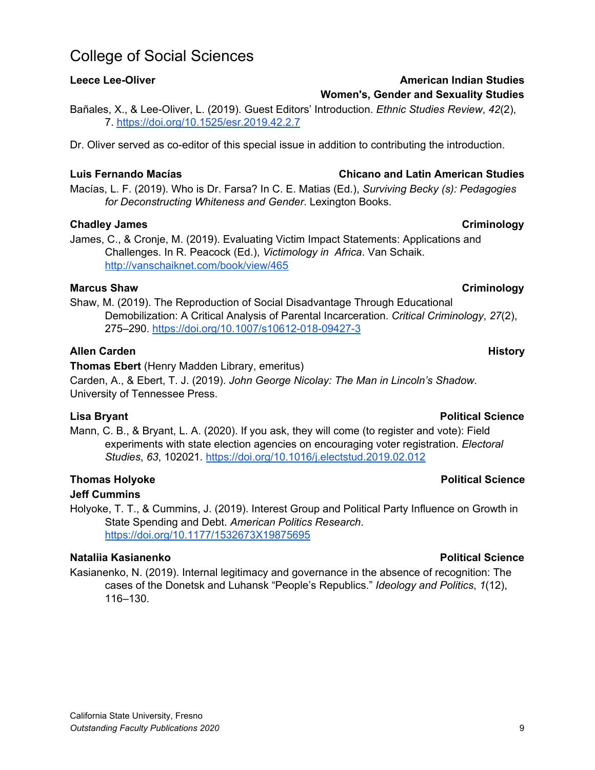# College of Social Sciences

## **Leece Lee-Oliver American Indian Studies**

**Women's, Gender and Sexuality Studies** Bañales, X., & Lee-Oliver, L. (2019). Guest Editors' Introduction. *Ethnic Studies Review*, *42*(2),

7[.](https://doi.org/10.1525/esr.2019.42.2.7) <https://doi.org/10.1525/esr.2019.42.2.7>

Dr. Oliver served as co-editor of this special issue in addition to contributing the introduction.

Macías, L. F. (2019). Who is Dr. Farsa? In C. E. Matias (Ed.), *Surviving Becky (s): Pedagogies for Deconstructing Whiteness and Gender*. Lexington Books.

### **Chadley James Criminology**

James, C., & Cronje, M. (2019). Evaluating Victim Impact Statements: Applications and Challenges. In R. Peacock (Ed.), *Victimology in Africa*. Van Schaik[.](http://vanschaiknet.com/book/view/465) <http://vanschaiknet.com/book/view/465>

### **Marcus Shaw Criminology**

Shaw, M. (2019). The Reproduction of Social Disadvantage Through Educational Demobilization: A Critical Analysis of Parental Incarceration. *Critical Criminology*, *27*(2), 275–290. <https://doi.org/10.1007/s10612-018-09427-3>

## **Allen Carden History**

## **Thomas Ebert** (Henry Madden Library, emeritus)

Carden, A., & Ebert, T. J. (2019). *John George Nicolay: The Man in Lincoln's Shadow*. University of Tennessee Press.

Mann, C. B., & Bryant, L. A. (2020). If you ask, they will come (to register and vote): Field experiments with state election agencies on encouraging voter registration. *Electoral Studies*, *63*, 102021[.](https://doi.org/10.1016/j.electstud.2019.02.012) <https://doi.org/10.1016/j.electstud.2019.02.012>

## **Thomas Holyoke Political Science**

## **Jeff Cummins**

Holyoke, T. T., & Cummins, J. (2019). Interest Group and Political Party Influence on Growth in State Spending and Debt. *American Politics Research*[.](https://doi.org/10.1177/1532673X19875695) <https://doi.org/10.1177/1532673X19875695>

## **Nataliia Kasianenko Political Science**

Kasianenko, N. (2019). Internal legitimacy and governance in the absence of recognition: The cases of the Donetsk and Luhansk "People's Republics." *Ideology and Politics*, *1*(12), 116–130.

## **Luis Fernando Macías Chicano and Latin American Studies**

## **Lisa Bryant Political Science**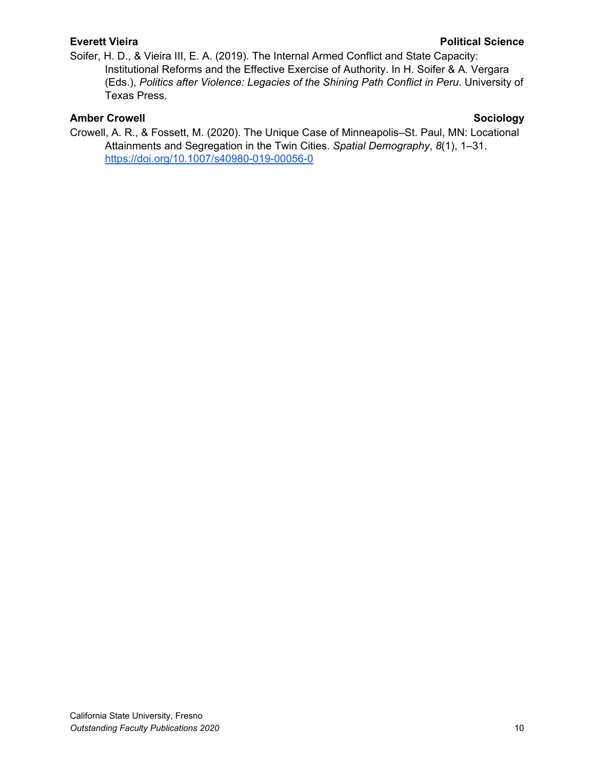### **Everett Vieira Political Science**

Soifer, H. D., & Vieira III, E. A. (2019). The Internal Armed Conflict and State Capacity: Institutional Reforms and the Effective Exercise of Authority. In H. Soifer & A. Vergara (Eds.), *Politics after Violence: Legacies of the Shining Path Conflict in Peru*. University of Texas Press.

## **Amber Crowell Sociology**

Crowell, A. R., & Fossett, M. (2020). The Unique Case of Minneapolis–St. Paul, MN: Locational Attainments and Segregation in the Twin Cities. *Spatial Demography*, *8*(1), 1–31. <https://doi.org/10.1007/s40980-019-00056-0>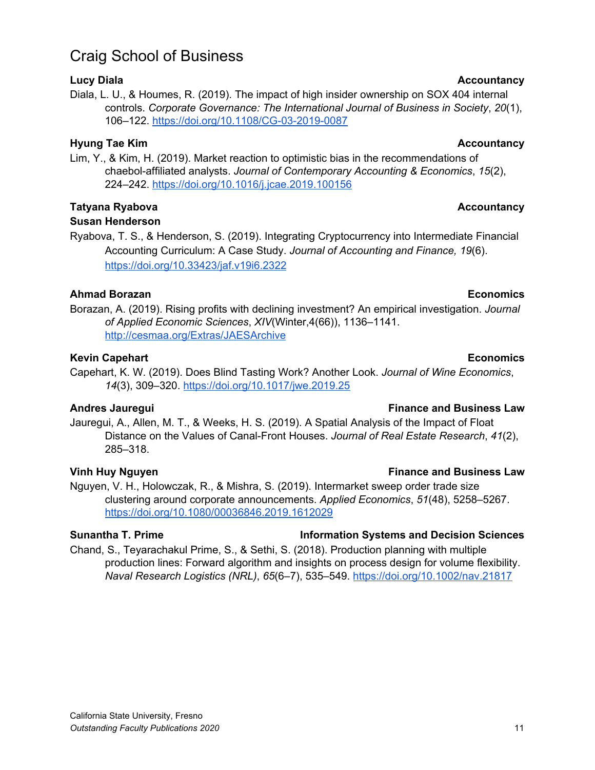### California State University, Fresno *Outstanding Faculty Publications 2020* 11

# Craig School of Business

Diala, L. U., & Houmes, R. (2019). The impact of high insider ownership on SOX 404 internal controls. *Corporate Governance: The International Journal of Business in Society*, *20*(1), 106–122. <https://doi.org/10.1108/CG-03-2019-0087>

## **Hyung Tae Kim Accountancy**

Lim, Y., & Kim, H. (2019). Market reaction to optimistic bias in the recommendations of chaebol-affiliated analysts. *Journal of Contemporary Accounting & Economics*, *15*(2), 224–242. <https://doi.org/10.1016/j.jcae.2019.100156>

## **Tatyana Ryabova Accountancy**

## **Susan Henderson**

Ryabova, T. S., & Henderson, S. (2019). Integrating Cryptocurrency into Intermediate Financial Accounting Curriculum: A Case Study. *Journal of Accounting and Finance, 19*(6)[.](https://doi.org/10.33423/jaf.v19i6.2322) <https://doi.org/10.33423/jaf.v19i6.2322>

## **Ahmad Borazan Economics**

Borazan, A. (2019). Rising profits with declining investment? An empirical investigation. *Journal of Applied Economic Sciences*, *XIV*(Winter,4(66)), 1136–1141. <http://cesmaa.org/Extras/JAESArchive>

## **Kevin Capehart Economics**

Capehart, K. W. (2019). Does Blind Tasting Work? Another Look. *Journal of Wine Economics*, *14*(3), 309–320[.](https://doi.org/10.1017/jwe.2019.25) <https://doi.org/10.1017/jwe.2019.25>

## **Andres Jauregui Finance and Business Law**

Jauregui, A., Allen, M. T., & Weeks, H. S. (2019). A Spatial Analysis of the Impact of Float Distance on the Values of Canal-Front Houses. *Journal of Real Estate Research*, *41*(2), 285–318.

## **Vinh Huy Nguyen Finance and Business Law**

Nguyen, V. H., Holowczak, R., & Mishra, S. (2019). Intermarket sweep order trade size clustering around corporate announcements. *Applied Economics*, *51*(48), 5258–5267. <https://doi.org/10.1080/00036846.2019.1612029>

## **Sunantha T. Prime Information Systems and Decision Sciences**

Chand, S., Teyarachakul Prime, S., & Sethi, S. (2018). Production planning with multiple production lines: Forward algorithm and insights on process design for volume flexibility. *Naval Research Logistics (NRL)*, *65*(6–7), 535–549. <https://doi.org/10.1002/nav.21817>

## **Lucy Diala Accountancy**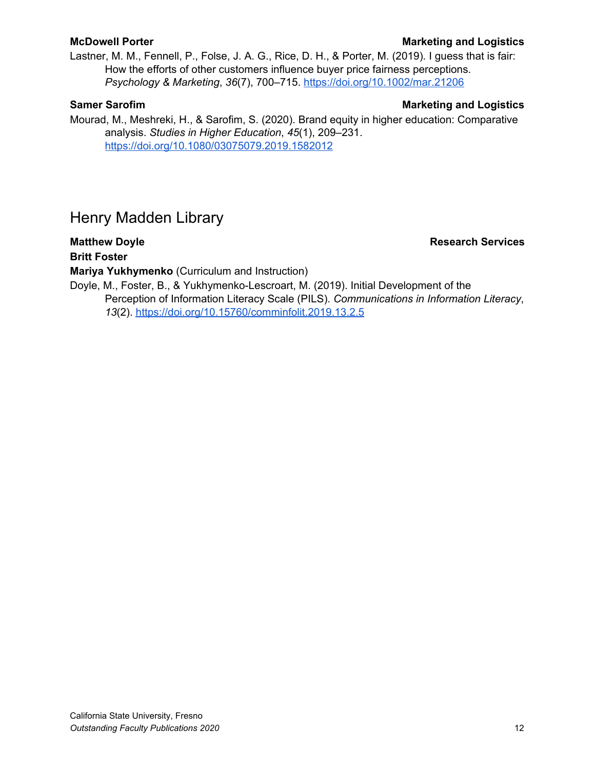### **McDowell Porter Marketing and Logistics**

Lastner, M. M., Fennell, P., Folse, J. A. G., Rice, D. H., & Porter, M. (2019). I guess that is fair: How the efforts of other customers influence buyer price fairness perceptions. *Psychology & Marketing*, *36*(7), 700–715. <https://doi.org/10.1002/mar.21206>

## **Samer Sarofim Marketing and Logistics**

Mourad, M., Meshreki, H., & Sarofim, S. (2020). Brand equity in higher education: Comparative analysis. *Studies in Higher Education*, *45*(1), 209–231. <https://doi.org/10.1080/03075079.2019.1582012>

# Henry Madden Library

**Matthew Doyle Research** Services

## **Britt Foster**

**Mariya Yukhymenko** (Curriculum and Instruction)

Doyle, M., Foster, B., & Yukhymenko-Lescroart, M. (2019). Initial Development of the Perception of Information Literacy Scale (PILS). *Communications in Information Literacy*, *13*(2)[.](https://doi.org/10.15760/comminfolit.2019.13.2.5) <https://doi.org/10.15760/comminfolit.2019.13.2.5>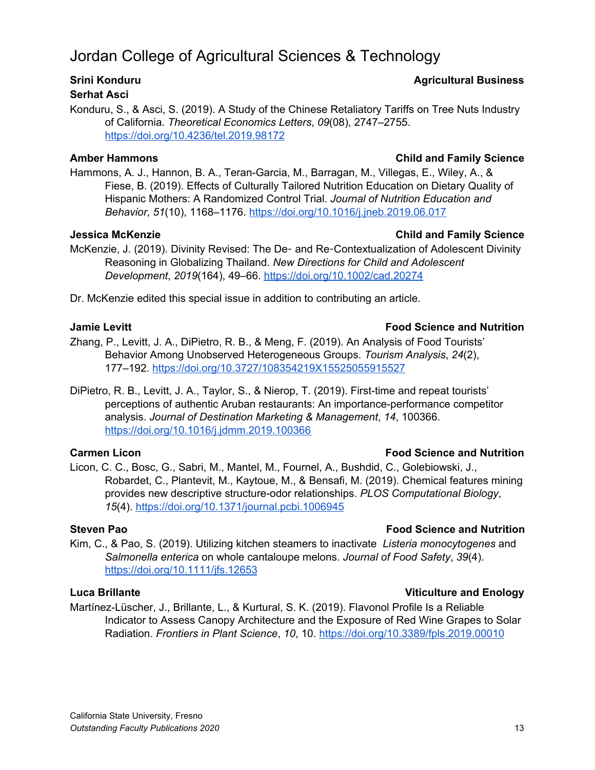# Jordan College of Agricultural Sciences & Technology

## **Serhat Asci**

Konduru, S., & Asci, S. (2019). A Study of the Chinese Retaliatory Tariffs on Tree Nuts Industry of California. *Theoretical Economics Letters*, *09*(08), 2747–2755. <https://doi.org/10.4236/tel.2019.98172>

## **Amber Hammons Child and Family Science**

Hammons, A. J., Hannon, B. A., Teran-Garcia, M., Barragan, M., Villegas, E., Wiley, A., & Fiese, B. (2019). Effects of Culturally Tailored Nutrition Education on Dietary Quality of Hispanic Mothers: A Randomized Control Trial. *Journal of Nutrition Education and Behavior*, *51*(10), 1168–1176. <https://doi.org/10.1016/j.jneb.2019.06.017>

## **Jessica McKenzie Child and Family Science**

McKenzie, J. (2019). Divinity Revised: The De- and Re-Contextualization of Adolescent Divinity Reasoning in Globalizing Thailand. *New Directions for Child and Adolescent Development*, *2019*(164), 49–66[.](https://doi.org/10.1002/cad.20274) <https://doi.org/10.1002/cad.20274>

Dr. McKenzie edited this special issue in addition to contributing an article.

## **Jamie Levitt Food Science and Nutrition**

- Zhang, P., Levitt, J. A., DiPietro, R. B., & Meng, F. (2019). An Analysis of Food Tourists' Behavior Among Unobserved Heterogeneous Groups. *Tourism Analysis*, *24*(2), 177–192. <https://doi.org/10.3727/108354219X15525055915527>
- DiPietro, R. B., Levitt, J. A., Taylor, S., & Nierop, T. (2019). First-time and repeat tourists' perceptions of authentic Aruban restaurants: An importance-performance competitor analysis. *Journal of Destination Marketing & Management*, *14*, 100366[.](https://doi.org/10.1016/j.jdmm.2019.100366) <https://doi.org/10.1016/j.jdmm.2019.100366>

# **Carmen Licon Food Science and Nutrition**

Licon, C. C., Bosc, G., Sabri, M., Mantel, M., Fournel, A., Bushdid, C., Golebiowski, J., Robardet, C., Plantevit, M., Kaytoue, M., & Bensafi, M. (2019). Chemical features mining provides new descriptive structure-odor relationships. *PLOS Computational Biology*, *15*(4)[.](https://doi.org/10.1371/journal.pcbi.1006945) <https://doi.org/10.1371/journal.pcbi.1006945>

# **Steven Pao Food Science and Nutrition**

Kim, C., & Pao, S. (2019). Utilizing kitchen steamers to inactivate *Listeria monocytogenes* and *Salmonella enterica* on whole cantaloupe melons. *Journal of Food Safety*, *39*(4). <https://doi.org/10.1111/jfs.12653>

## **Luca Brillante Viticulture and Enology**

Martínez-Lüscher, J., Brillante, L., & Kurtural, S. K. (2019). Flavonol Profile Is a Reliable Indicator to Assess Canopy Architecture and the Exposure of Red Wine Grapes to Solar Radiation. *Frontiers in Plant Science*, *10*, 10. <https://doi.org/10.3389/fpls.2019.00010>

# **Srini Konduru Agricultural Business**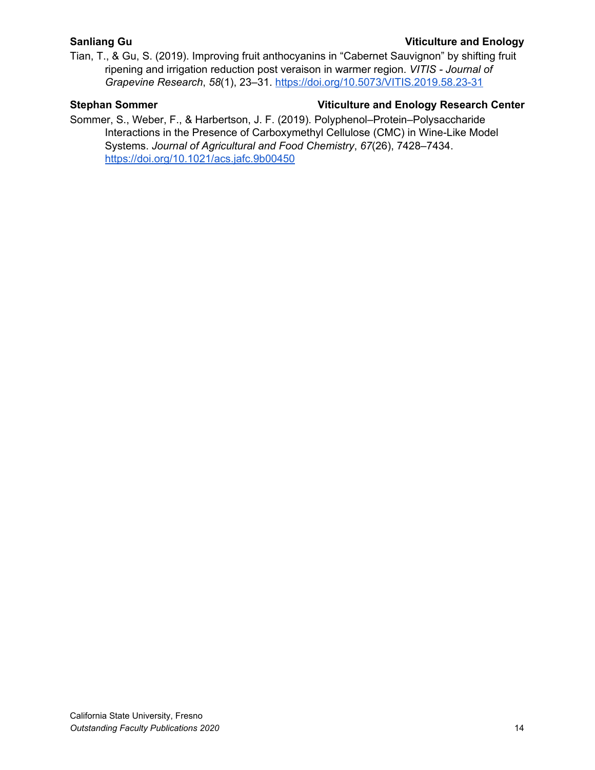### **Sanliang Gu Viticulture and Enology**

Tian, T., & Gu, S. (2019). Improving fruit anthocyanins in "Cabernet Sauvignon" by shifting fruit ripening and irrigation reduction post veraison in warmer region. *VITIS - Journal of Grapevine Research*, *58*(1), 23–31. <https://doi.org/10.5073/VITIS.2019.58.23-31>

## **Stephan Sommer Viticulture and Enology Research Center**

Sommer, S., Weber, F., & Harbertson, J. F. (2019). Polyphenol–Protein–Polysaccharide Interactions in the Presence of Carboxymethyl Cellulose (CMC) in Wine-Like Model Systems. *Journal of Agricultural and Food Chemistry*, *67*(26), 7428–7434[.](https://doi.org/10.1021/acs.jafc.9b00450) <https://doi.org/10.1021/acs.jafc.9b00450>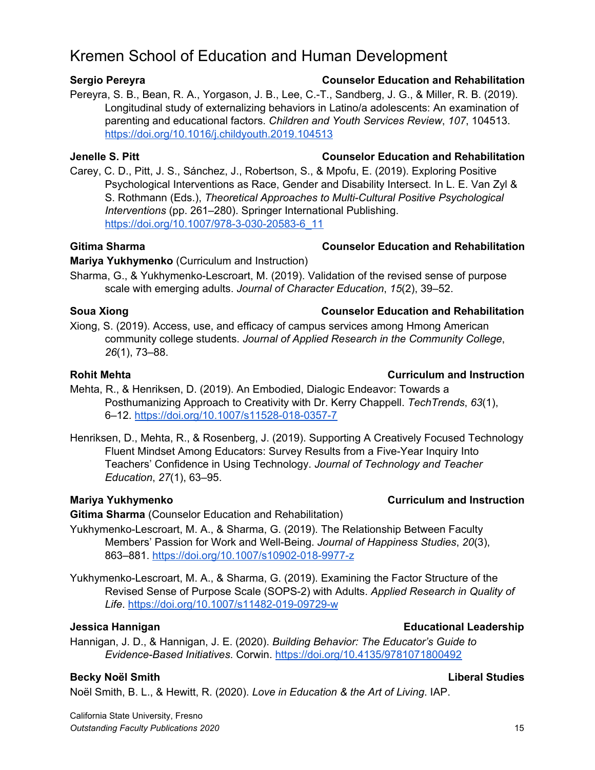# Kremen School of Education and Human Development

## **Sergio Pereyra Counselor Education and Rehabilitation**

Pereyra, S. B., Bean, R. A., Yorgason, J. B., Lee, C.-T., Sandberg, J. G., & Miller, R. B. (2019). Longitudinal study of externalizing behaviors in Latino/a adolescents: An examination of parenting and educational factors. *Children and Youth Services Review*, *107*, 104513[.](https://doi.org/10.1016/j.childyouth.2019.104513) <https://doi.org/10.1016/j.childyouth.2019.104513>

## **Jenelle S. Pitt Counselor Education and Rehabilitation**

Carey, C. D., Pitt, J. S., Sánchez, J., Robertson, S., & Mpofu, E. (2019). Exploring Positive Psychological Interventions as Race, Gender and Disability Intersect. In L. E. Van Zyl & S. Rothmann (Eds.), *Theoretical Approaches to Multi-Cultural Positive Psychological Interventions* (pp. 261–280). Springer International Publishing[.](https://doi.org/10.1007/978-3-030-20583-6_11) [https://doi.org/10.1007/978-3-030-20583-6\\_11](https://doi.org/10.1007/978-3-030-20583-6_11)

## **Gitima Sharma Counselor Education and Rehabilitation**

## **Mariya Yukhymenko** (Curriculum and Instruction)

Sharma, G., & Yukhymenko-Lescroart, M. (2019). Validation of the revised sense of purpose scale with emerging adults. *Journal of Character Education*, *15*(2), 39–52.

## **Soua Xiong Counselor Education and Rehabilitation**

Xiong, S. (2019). Access, use, and efficacy of campus services among Hmong American community college students. *Journal of Applied Research in the Community College*, *26*(1), 73–88.

## **Rohit Mehta Curriculum and Instruction**

- Mehta, R., & Henriksen, D. (2019). An Embodied, Dialogic Endeavor: Towards a Posthumanizing Approach to Creativity with Dr. Kerry Chappell. *TechTrends*, *63*(1), 6–12. <https://doi.org/10.1007/s11528-018-0357-7>
- Henriksen, D., Mehta, R., & Rosenberg, J. (2019). Supporting A Creatively Focused Technology Fluent Mindset Among Educators: Survey Results from a Five-Year Inquiry Into Teachers' Confidence in Using Technology. *Journal of Technology and Teacher Education*, *27*(1), 63–95.

## **Gitima Sharma** (Counselor Education and Rehabilitation)

- Yukhymenko-Lescroart, M. A., & Sharma, G. (2019). The Relationship Between Faculty Members' Passion for Work and Well-Being. *Journal of Happiness Studies*, *20*(3), 863–881. <https://doi.org/10.1007/s10902-018-9977-z>
- Yukhymenko-Lescroart, M. A., & Sharma, G. (2019). Examining the Factor Structure of the Revised Sense of Purpose Scale (SOPS-2) with Adults. *Applied Research in Quality of Life*. <https://doi.org/10.1007/s11482-019-09729-w>

## **Jessica Hannigan Educational Leadership**

Hannigan, J. D., & Hannigan, J. E. (2020). *Building Behavior: The Educator's Guide to Evidence-Based Initiatives*. Corwin. <https://doi.org/10.4135/9781071800492>

## **Becky Noël Smith Liberal Studies**

Noël Smith, B. L., & Hewitt, R. (2020). *Love in Education & the Art of Living*. IAP.

### **Mariya Yukhymenko Curriculum and Instruction**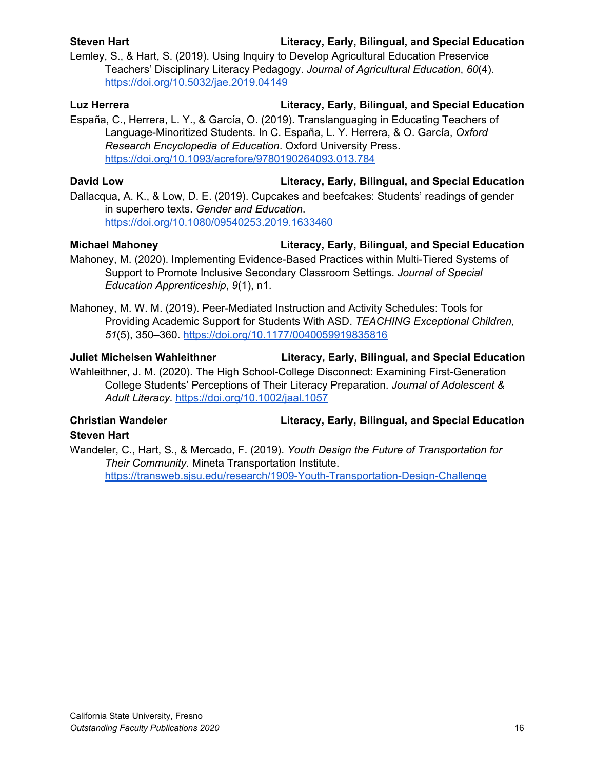## **Steven Hart Literacy, Early, Bilingual, and Special Education**

Lemley, S., & Hart, S. (2019). Using Inquiry to Develop Agricultural Education Preservice Teachers' Disciplinary Literacy Pedagogy. *Journal of Agricultural Education*, *60*(4)[.](https://doi.org/10.5032/jae.2019.04149) <https://doi.org/10.5032/jae.2019.04149>

## **Luz Herrera Literacy, Early, Bilingual, and Special Education**

España, C., Herrera, L. Y., & García, O. (2019). Translanguaging in Educating Teachers of Language-Minoritized Students. In C. España, L. Y. Herrera, & O. García, *Oxford Research Encyclopedia of Education*. Oxford University Press[.](https://doi.org/10.1093/acrefore/9780190264093.013.784) <https://doi.org/10.1093/acrefore/9780190264093.013.784>

## **David Low Literacy, Early, Bilingual, and Special Education**

Dallacqua, A. K., & Low, D. E. (2019). Cupcakes and beefcakes: Students' readings of gender in superhero texts. *Gender and Education*. <https://doi.org/10.1080/09540253.2019.1633460>

### **Michael Mahoney Literacy, Early, Bilingual, and Special Education**

- Mahoney, M. (2020). Implementing Evidence-Based Practices within Multi-Tiered Systems of Support to Promote Inclusive Secondary Classroom Settings. *Journal of Special Education Apprenticeship*, *9*(1), n1.
- Mahoney, M. W. M. (2019). Peer-Mediated Instruction and Activity Schedules: Tools for Providing Academic Support for Students With ASD. *TEACHING Exceptional Children*, *51*(5), 350–360[.](https://doi.org/10.1177/0040059919835816) <https://doi.org/10.1177/0040059919835816>

## **Juliet Michelsen Wahleithner Literacy, Early, Bilingual, and Special Education**

Wahleithner, J. M. (2020). The High School-College Disconnect: Examining First-Generation College Students' Perceptions of Their Literacy Preparation. *Journal of Adolescent & Adult Literacy*. <https://doi.org/10.1002/jaal.1057>

# **Steven Hart**

**Christian Wandeler Literacy, Early, Bilingual, and Special Education**

Wandeler, C., Hart, S., & Mercado, F. (2019). *Youth Design the Future of Transportation for Their Community*. Mineta Transportation Institute. <https://transweb.sjsu.edu/research/1909-Youth-Transportation-Design-Challenge>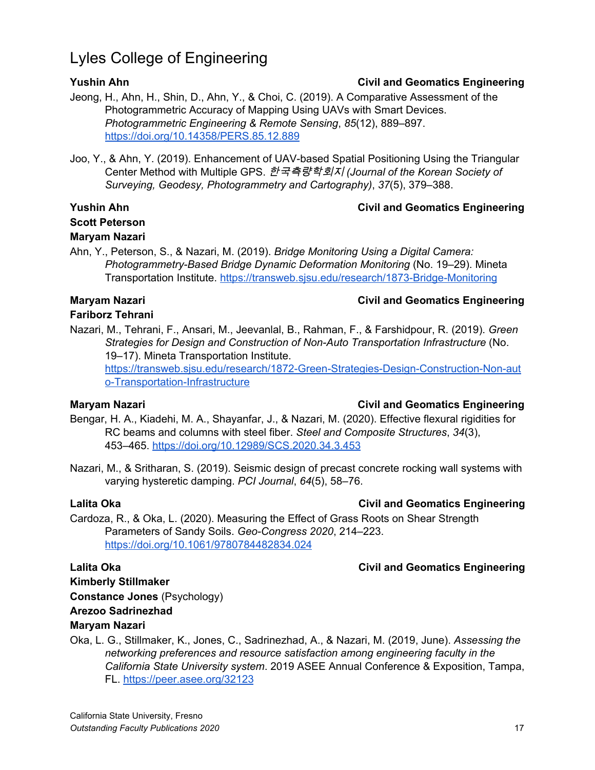# Lyles College of Engineering

## **Yushin Ahn Civil and Geomatics Engineering**

- Jeong, H., Ahn, H., Shin, D., Ahn, Y., & Choi, C. (2019). A Comparative Assessment of the Photogrammetric Accuracy of Mapping Using UAVs with Smart Devices. *Photogrammetric Engineering & Remote Sensing*, *85*(12), 889–897. <https://doi.org/10.14358/PERS.85.12.889>
- Joo, Y., & Ahn, Y. (2019). Enhancement of UAV-based Spatial Positioning Using the Triangular Center Method with Multiple GPS. 한국측량학회지 *(Journal of the Korean Society of Surveying, Geodesy, Photogrammetry and Cartography)*, *37*(5), 379–388.

## **Yushin Ahn Civil and Geomatics Engineering**

# **Scott Peterson**

## **Maryam Nazari**

Ahn, Y., Peterson, S., & Nazari, M. (2019). *Bridge Monitoring Using a Digital Camera: Photogrammetry-Based Bridge Dynamic Deformation Monitoring* (No. 19–29). Mineta Transportation Institute. <https://transweb.sjsu.edu/research/1873-Bridge-Monitoring>

## **Maryam Nazari Civil and Geomatics Engineering**

## **Fariborz Tehrani**

Nazari, M., Tehrani, F., Ansari, M., Jeevanlal, B., Rahman, F., & Farshidpour, R. (2019). *Green Strategies for Design and Construction of Non-Auto Transportation Infrastructure* (No. 19–17). Mineta Transportation Institute. [https://transweb.sjsu.edu/research/1872-Green-Strategies-Design-Construction-Non-aut](https://transweb.sjsu.edu/research/1872-Green-Strategies-Design-Construction-Non-auto-Transportation-Infrastructure) [o-Transportation-Infrastructure](https://transweb.sjsu.edu/research/1872-Green-Strategies-Design-Construction-Non-auto-Transportation-Infrastructure)

## **Maryam Nazari Civil and Geomatics Engineering**

Bengar, H. A., Kiadehi, M. A., Shayanfar, J., & Nazari, M. (2020). Effective flexural rigidities for RC beams and columns with steel fiber. *Steel and Composite Structures*, *34*(3), 453–465. <https://doi.org/10.12989/SCS.2020.34.3.453>

Nazari, M., & Sritharan, S. (2019). Seismic design of precast concrete rocking wall systems with varying hysteretic damping. *PCI Journal*, *64*(5), 58–76.

## **Lalita Oka Civil and Geomatics Engineering**

Cardoza, R., & Oka, L. (2020). Measuring the Effect of Grass Roots on Shear Strength Parameters of Sandy Soils. *Geo-Congress 2020*, 214–223[.](https://doi.org/10.1061/9780784482834.024) <https://doi.org/10.1061/9780784482834.024>

## **Lalita Oka Civil and Geomatics Engineering**

## **Kimberly Stillmaker**

**Constance Jones** (Psychology)

### **Arezoo Sadrinezhad**

## **Maryam Nazari**

Oka, L. G., Stillmaker, K., Jones, C., Sadrinezhad, A., & Nazari, M. (2019, June). *Assessing the networking preferences and resource satisfaction among engineering faculty in the California State University system*. 2019 ASEE Annual Conference & Exposition, Tampa, FL. <https://peer.asee.org/32123>